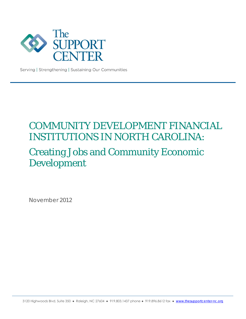

Serving | Strengthening | Sustaining Our Communities

# COMMUNITY DEVELOPMENT FINANCIAL INSTITUTIONS IN NORTH CAROLINA: Creating Jobs and Community Economic Development

November 2012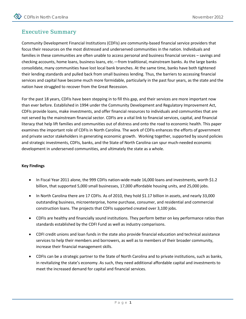### Executive Summary

Community Development Financial Institutions (CDFIs) are community-based financial service providers that focus their resources on the most distressed and underserved communities in the nation. Individuals and families in these communities are often unable to access personal and business financial services – savings and checking accounts, home loans, business loans, etc.—from traditional, mainstream banks. As the large banks consolidate, many communities have lost local bank branches. At the same time, banks have both tightened their lending standards and pulled back from small business lending. Thus, the barriers to accessing financial services and capital have become much more formidable, particularly in the past four years, as the state and the nation have struggled to recover from the Great Recession.

For the past 18 years, CDFIs have been stepping in to fill this gap, and their services are more important now than ever before. Established in 1994 under the Community Development and Regulatory Improvement Act, CDFIs provide loans, make investments, and offer financial resources to individuals and communities that are not served by the mainstream financial sector. CDFIs are a vital link to financial services, capital, and financial literacy that help lift families and communities out of distress and onto the road to economic health. This paper examines the important role of CDFIs in North Carolina. The work of CDFIs enhances the efforts of government and private sector stakeholders in generating economic growth. Working together, supported by sound policies and strategic investments, CDFIs, banks, and the State of North Carolina can spur much-needed economic development in underserved communities, and ultimately the state as a whole.

#### **Key Findings**

- In Fiscal Year 2011 alone, the 999 CDFIs nation-wide made 16,000 loans and investments, worth \$1.2 billion, that supported 5,000 small businesses, 17,000 affordable housing units, and 25,000 jobs.
- In North Carolina there are 17 CDFIs. As of 2010, they hold \$1.17 billion in assets, and nearly 33,000 outstanding business, microenterprise, home purchase, consumer, and residential and commercial construction loans. The projects that CDFIs supported created over 3,100 jobs.
- CDFIs are healthy and financially sound institutions. They perform better on key performance ratios than standards established by the CDFI Fund as well as industry comparisons.
- CDFI credit unions and loan funds in the state also provide financial education and technical assistance services to help their members and borrowers, as well as to members of their broader community, increase their financial management skills.
- CDFIs can be a strategic partner to the State of North Carolina and to private institutions, such as banks, in revitalizing the state's economy. As such, they need additional affordable capital and investments to meet the increased demand for capital and financial services.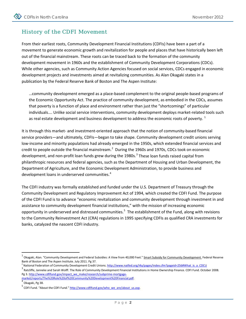# History of the CDFI Movement

From their earliest roots, Community Development Financial Institutions (CDFIs) have been a part of a movement to generate economic growth and revitalization for people and places that have historically been left out of the financial mainstream. These roots can be traced back to the formation of the community development movement in 1960s and the establishment of Community Development Corporations (CDCs). While other agencies, such as Community Action Agencies focused on social services, CDCs engaged in economic development projects and investments aimed at revitalizing communities. As Alan Okagaki states in a publication by the Federal Reserve Bank of Boston and The Aspen Institute:

…community development emerged as a place-based complement to the original people-based programs of the Economic Opportunity Act. The practice of community development, as embodied in the CDCs, assumes that poverty is a function of place and environment rather than just the "shortcomings" of particular individuals…. Unlike social service interventions, community development deploys market-related tools such as real estate development and business development to address the economic roots of poverty.  $1$ 

It is through this market- and investment-oriented approach that the notion of community-based financial service providers—and ultimately, CDFIs—began to take shape. Community development credit unions serving low-income and minority populations had already emerged in the 1950s, which extended financial services and credit to people outside the financial mainstream.<sup>[2](#page-3-1)</sup> During the 1960s and 1970s, CDCs took on economic development, and non-profit loan funds grew during the 1980s.<sup>[3](#page-3-2)</sup> These loan funds raised capital from philanthropic resources and federal agencies, such as the Department of Housing and Urban Development, the Department of Agriculture, and the Economic Development Administration, to provide business and development loans in underserved communities.<sup>[4](#page-3-3)</sup>

The CDFI industry was formally established and funded under the U.S. Department of Treasury through the Community Development and Regulatory Improvement Act of 1994, which created the CDFI Fund. The purpose of the CDFI Fund is to advance "economic revitalization and community development through investment in and assistance to community development financial institutions," with the mission of increasing economic opportunity in underserved and distressed communities.<sup>[5](#page-3-4)</sup> The establishment of the Fund, along with revisions to the Community Reinvestment Act (CRA) regulations in 1995 specifying CDFIs as qualified CRA investments for banks, catalyzed the nascent CDFI industry.

<span id="page-3-0"></span>Okagaki, Alan. "Community Development and Federal Subsidies: A View from 40,000 Feet." Smart Subsidy for Community Development. Federal Reserve

<span id="page-3-1"></span>Bank of Boston and The Aspen Institute. July 2011. Pg 37.<br><sup>2</sup> National Federation of Community Development Credit Unions. http://www.natfed.org/i4a/pages/index.cfm?pageid=256#What is a CDCU

<span id="page-3-2"></span> $3$  Ratcliffe, Janneke and Sarah Wolff. The Role of Community Development Financial Institutions in Home Ownership Finance. CDFI Fund. October 2008. Pg 3[. http://www.cdfifund.gov/impact\\_we\\_make/research/subprime-mortgage-](http://www.cdfifund.gov/impact_we_make/research/subprime-mortgage-market/reports/The%20Role%20of%20Community%20Development%20Financial.pdf)

<span id="page-3-3"></span>[market/reports/The%20Role%20of%20Community%20Development%20Financial.pdf. 4](http://www.cdfifund.gov/impact_we_make/research/subprime-mortgage-market/reports/The%20Role%20of%20Community%20Development%20Financial.pdf) Okagaki, Pg 38.

<span id="page-3-4"></span><sup>&</sup>lt;sup>5</sup> CDFI Fund. "About the CDFI Fund." http://www.cdfifund.gov/who\_we\_are/about\_us.asp.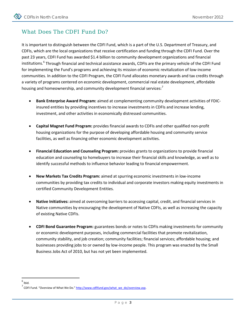# What Does The CDFI Fund Do?

It is important to distinguish between the CDFI Fund, which is a part of the U.S. Department of Treasury, and CDFIs, which are the local organizations that receive certification and funding through the CDFI Fund. Over the past 23 years, CDFI Fund has awarded \$1.4 billion to community development organizations and financial institutions.<sup>[6](#page-4-0)</sup> Through financial and technical assistance awards, CDFIs are the primary vehicle of the CDFI Fund for implementing the Fund's programs and achieving its mission of economic revitalization of low-income communities. In addition to the CDFI Program, the CDFI Fund allocates monetary awards and tax credits through a variety of programs centered on economic development, commercial real estate development, affordable housing and homeownership, and community development financial services:<sup>[7](#page-4-1)</sup>

- **Bank Enterprise Award Program:** aimed at complementing community development activities of FDICinsured entities by providing incentives to increase investments in CDFIs and increase lending, investment, and other activities in economically distressed communities.
- **Capital Magnet Fund Program:** provides financial awards to CDFIs and other qualified non-profit housing organizations for the purpose of developing affordable housing and community service facilities, as well as financing other economic development activities.
- **Financial Education and Counseling Program:** provides grants to organizations to provide financial education and counseling to homebuyers to increase their financial skills and knowledge, as well as to identify successful methods to influence behavior leading to financial empowerment.
- **New Markets Tax Credits Program:** aimed at spurring economic investments in low-income communities by providing tax credits to individual and corporate investors making equity investments in certified Community Development Entities.
- **Native Initiatives:** aimed at overcoming barriers to accessing capital, credit, and financial services in Native communities by encouraging the development of Native CDFIs, as well as increasing the capacity of existing Native CDFIs.
- **CDFI Bond Guarantee Program:** guarantees bonds or notes to CDFIs making investments for community or economic development purposes, including commercial facilities that promote revitalization, community stability, and job creation; community facilities; financial services; affordable housing; and businesses providing jobs to or owned by low-income people. This program was enacted by the Small Business Jobs Act of 2010, but has not yet been implemented.

<span id="page-4-0"></span> $<sup>6</sup>$  Ibid.</sup>

<span id="page-4-1"></span> $7$  CDFI Fund. "Overview of What We Do." http://www.cdfifund.gov/what\_we\_do/overview.asp.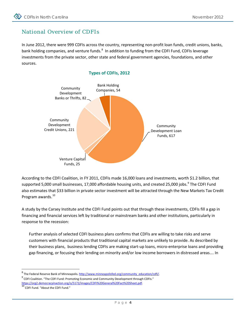## National Overview of CDFIs

In June 2012, there were 999 CDFIs across the country, representing non-profit loan funds, credit unions, banks, bank holding companies, and venture funds.<sup>[8](#page-5-0)</sup> In addition to funding from the CDFI Fund, CDFIs leverage investments from the private sector, other state and federal government agencies, foundations, and other sources.





According to the CDFI Coalition, in FY 2011, CDFIs made 16,000 loans and investments, worth \$1.2 billion, that supported 5,000 small businesses, 17,000 affordable housing units, and created 25,000 jobs.<sup>[9](#page-5-1)</sup> The CDFI Fund also estimates that \$33 billion in private sector investment will be attracted through the New Markets Tax Credit Program awards.<sup>[10](#page-5-2)</sup>

A study by the Carsey Institute and the CDFI Fund points out that through these investments, CDFIs fill a gap in financing and financial services left by traditional or mainstream banks and other institutions, particularly in response to the recession:

Further analysis of selected CDFI business plans confirms that CDFIs are willing to take risks and serve customers with financial products that traditional capital markets are unlikely to provide. As described by their business plans, business lending CDFIs are making start-up loans, micro-enterprise loans and providing gap financing, or focusing their lending on minority and/or low income borrowers in distressed areas…. In

<span id="page-5-1"></span><span id="page-5-0"></span><sup>&</sup>lt;sup>8</sup> The Federal Reserve Bank of Minneapolis. [http://www.minneapolisfed.org/community\\_education/cdfi/.](http://www.minneapolisfed.org/community_education/cdfi/) 9 CDFI Coalition. "The CDFI Fund: Promoting Economic and Community Development through CDFIs." https://org2.democracyinaction.org/o/5172/images/CDFI%20General%20Fact%20Sheet.pdf.<br><sup>10</sup> CDFI Fund. "About the CDFI Fund."

<span id="page-5-2"></span>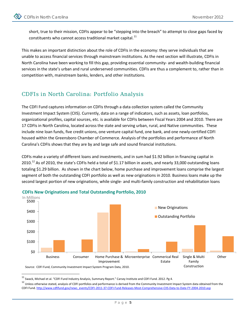short, true to their mission, CDFIs appear to be "stepping into the breach" to attempt to close gaps faced by constituents who cannot access traditional market capital. $^{11}$  $^{11}$  $^{11}$ 

This makes an important distinction about the role of CDFIs in the economy: they serve individuals that are unable to access financial services through mainstream institutions. As the next section will illustrate, CDFIs in North Carolina have been working to fill this gap, providing essential community- and wealth-building financial services in the state's urban and rural underserved communities. CDFIs are thus a complement to, rather than in competition with, mainstream banks, lenders, and other institutions.

# CDFIs in North Carolina: Portfolio Analysis

The CDFI Fund captures information on CDFIs through a data collection system called the Community Investment Impact System (CIIS). Currently, data on a range of indicators, such as assets, loan portfolios, organizational profiles, capital sources, etc. is available for CDFIs between Fiscal Years 2004 and 2010. There are 17 CDFIs in North Carolina, located across the state and serving urban, rural, and Native communities. These include nine loan funds, five credit unions, one venture capital fund, one bank, and one newly-certified CDFI housed within the Greensboro Chamber of Commerce. Analysis of the portfolios and performance of North Carolina's CDFIs shows that they are by and large safe and sound financial institutions.

CDFIs make a variety of different loans and investments, and in sum had \$1.92 billion in financing capital in 2010.<sup>[12](#page-6-1)</sup> As of 2010, the state's CDFIs held a total of \$1.17 billion in assets, and nearly 33,000 outstanding loans totaling \$1.29 billion. As shown in the chart below, home purchase and improvement loans comprise the largest segment of both the outstanding CDFI portfolio as well as new originations in 2010. Business loans make up the second largest portion of new originations, while single- and multi-family construction and rehabilitation loans



**CDFIs New Originations and Total Outstanding Portfolio, 2010**

<span id="page-6-0"></span> $11$  Swack, Michael et al. "CDFI Fund Industry Analysis, Summary Report." Carsey Institute and CDFI Fund. 2012. Pg 4.

<span id="page-6-1"></span><sup>&</sup>lt;sup>12</sup> Unless otherwise stated, analysis of CDFI portfolios and performance is derived from the Community Investment Impact System data obtained from the CDFI Fund[. http://www.cdfifund.gov/news\\_events/CDFI-2011-37-CDFI-Fund-Releases-Most-Comprehensive-CIIS-Data-to-Date-FY-2004-2010.asp](http://www.cdfifund.gov/news_events/CDFI-2011-37-CDFI-Fund-Releases-Most-Comprehensive-CIIS-Data-to-Date-FY-2004-2010.asp)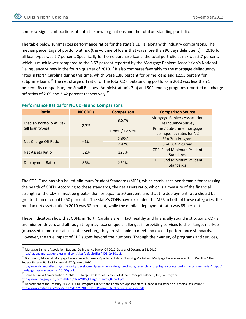comprise significant portions of both the new originations and the total outstanding portfolio.

The table below summarizes performance ratios for the state's CDFIs, along with industry comparisons. The median percentage of portfolio at risk (the volume of loans that was more than 90 days delinquent) in 2010 for all loan types was 2.7 percent. Specifically for home purchase loans, the total portfolio at risk was 5.7 percent, which is much lower compared to the 8.57 percent reported by the Mortgage Bankers Association's National Delinguency Survey in the fourth quarter of 2010.<sup>[13](#page-7-0)</sup> It also compares favorably to the mortgage delinguency rates in North Carolina during this time, which were 1.88 percent for prime loans and 12.53 percent for subprime loans.<sup>[14](#page-7-1)</sup> The net charge off ratio for the total CDFI outstanding portfolio in 2010 was less than 1 percent. By comparison, the Small Business Administration's 7(a) and 504 lending programs reported net charge off ratios of 2.65 and 2.42 percent respectively.<sup>[15](#page-7-2)</sup>

| Ratio                                        | <b>NC CDFIS</b> | <b>Comparison</b> | <b>Comparison Source</b>                                         |
|----------------------------------------------|-----------------|-------------------|------------------------------------------------------------------|
| Median Portfolio At Risk<br>(all loan types) | 2.7%            | 8.57%             | <b>Mortgage Bankers Association</b><br><b>Delinquency Survey</b> |
|                                              |                 | 1.88% / 12.53%    | Prime / Sub-prime mortgage<br>delinquency rates for NC           |
| <b>Net Charge Off Ratio</b>                  | $< 1\%$         | 2.65%             | SBA 7(a) Program                                                 |
|                                              |                 | 2.42%             | SBA 504 Program                                                  |
| Net Assets Ratio                             | 32%             | $\geq$ 20%        | <b>CDFI Fund Minimum Prudent</b><br><b>Standards</b>             |
| Deployment Ratio                             | 85%             | $>50\%$           | <b>CDFI Fund Minimum Prudent</b><br><b>Standards</b>             |

#### **Performance Ratios for NC CDFIs and Comparisons**

The CDFI Fund has also issued Minimum Prudent Standards (MPS), which establishes benchmarks for assessing the health of CDFIs. According to these standards, the net assets ratio, which is a measure of the financial strength of the CDFIs, must be greater than or equal to 20 percent, and that the deployment ratio should be greater than or equal to 50 percent.<sup>[16](#page-7-3)</sup> The state's CDFIs have exceeded the MPS in both of these categories; the median net assets ratio in 2010 was 32 percent, while the median deployment ratio was 85 percent.

These indicators show that CDFIs in North Carolina are in fact healthy and financially sound institutions. CDFIs are mission-driven, and although they may face unique challenges in providing services to their target markets (discussed in more detail in a later section), they are still able to meet and exceed performance standards. However, the true impact of CDFIs goes beyond the numbers. Through their variety of programs and services,

<span id="page-7-0"></span><sup>&</sup>lt;sup>13</sup> Mortgage Bankers Association. National Delinquency Survey Q4 2010, Data as of December 31, 2010.<br>http://nationalmortgageprofessional.com/sites/default/files/NDS Q410.pdf.

<span id="page-7-1"></span> $\frac{14}{14}$  Blackwood, Jake et al. Mortgage Performance Summary, Quarterly Update. "Housing Market and Mortgage Performance in North Carolina." The Federal Reserve Bank of Richmond. 4<sup>th</sup> Quarter, 2010.

[http://www.richmondfed.org/community\\_development/resource\\_centers/foreclosure/research\\_and\\_pubs/mortgage\\_performance\\_summaries/nc/pdf/](http://www.richmondfed.org/community_development/resource_centers/foreclosure/research_and_pubs/mortgage_performance_summaries/nc/pdf/mortgage_performance_nc_20104q.pdf)<br>mortgage\_performance\_nc\_20104g.pdf.

<span id="page-7-2"></span>Small Business Administration. "Table 9 – Charge Off Rates as Percent of Unpaid Principal Balance (UBP) by Program."

<span id="page-7-3"></span>http://www.sba.gov/sites/default/files/files/WDS\_ChargeOffRates\_Report.pdf.<br><sup>16</sup> Department of the Treasury. "FY 2011 CDFI Program Guide to the Combined Application for Financial Assistance or Technical Assistance." [http://www.cdfifund.gov/docs/2011/cdfi/FY\\_2011\\_CDFI\\_Program\\_Application\\_Guidance.pdf.](http://www.cdfifund.gov/docs/2011/cdfi/FY_2011_CDFI_Program_Application_Guidance.pdf)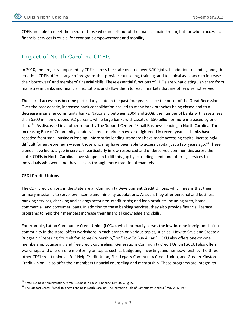CDFIs are able to meet the needs of those who are left out of the financial mainstream, but for whom access to financial services is crucial for economic empowerment and mobility.

# Impact of North Carolina CDFIs

In 2010, the projects supported by CDFIs across the state created over 3,100 jobs. In addition to lending and job creation, CDFIs offer a range of programs that provide counseling, training, and technical assistance to increase their borrowers' and members' financial skills. These essential functions of CDFIs are what distinguish them from mainstream banks and financial institutions and allow them to reach markets that are otherwise not served.

The lack of access has become particularly acute in the past four years, since the onset of the Great Recession. Over the past decade, increased bank consolidation has led to many bank branches being closed and to a decrease in smaller community banks. Nationally between 2004 and 2008, the number of banks with assets less than \$500 million dropped 9.2 percent, while large banks with assets of \$50 billion or more increased by onethird.<sup>17</sup> As discussed in another report by The Support Center, "Small Business Lending in North Carolina: The Increasing Role of Community Lenders," credit markets have also tightened in recent years as banks have receded from small business lending. More strict lending standards have made accessing capital increasingly difficult for entrepreneurs—even those who may have been able to access capital just a few years ago.<sup>[18](#page-8-1)</sup> These trends have led to a gap in services, particularly in low-resourced and underserved communities across the state. CDFIs in North Carolina have stepped in to fill this gap by extending credit and offering services to individuals who would not have access through more traditional channels.

#### **CFDI Credit Unions**

The CDFI credit unions in the state are all Community Development Credit Unions, which means that their primary mission is to serve low-income and minority populations. As such, they offer personal and business banking services; checking and savings accounts; credit cards; and loan products including auto, home, commercial, and consumer loans. In addition to these banking services, they also provide financial literacy programs to help their members increase their financial knowledge and skills.

For example, Latino Community Credit Union (LCCU), which primarily serves the low-income immigrant Latino community in the state, offers workshops in each branch on various topics, such as "How to Save and Create a Budget," "Preparing Yourself for Home Ownership," or "How To Buy A Car." LCCU also offers one-on-one membership counseling and free credit counseling. Generations Community Credit Union (GCCU) also offers workshops and one-on-one mentoring on topics such as budgeting, investing, and homeownership. The three other CDFI credit unions—Self-Help Credit Union, First Legacy Community Credit Union, and Greater Kinston Credit Union—also offer their members financial counseling and mentorship. These programs are integral to

<span id="page-8-0"></span> <sup>17</sup> Small Business Administration, "Small Business in Focus: Finance." July 2009. Pg 25.

<span id="page-8-1"></span><sup>&</sup>lt;sup>18</sup> The Support Center. "Small Business Lending in North Carolina: The Increasing Role of Community Lenders." May 2012. Pg 4.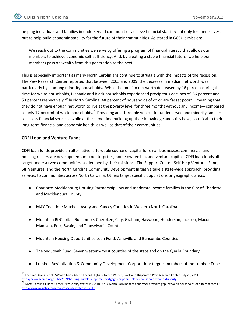helping individuals and families in underserved communities achieve financial stability not only for themselves, but to help build economic stability for the future of their communities. As stated in GCCU's mission:

We reach out to the communities we serve by offering a program of financial literacy that allows our members to achieve economic self-sufficiency. And, by creating a stable financial future, we help our members pass on wealth from this generation to the next.

This is especially important as many North Carolinians continue to struggle with the impacts of the recession. The Pew Research Center reported that between 2005 and 2009, the decrease in median net worth was particularly high among minority households. While the median net worth decreased by 16 percent during this time for white households, Hispanic and Black households experienced precipitous declines of 66 percent and 53 percent respectively.<sup>[19](#page-9-0)</sup> In North Carolina, 48 percent of households of color are "asset poor"—meaning that they do not have enough net worth to live at the poverty level for three months without any income—compared to only 17 percent of white households.<sup>[20](#page-9-1)</sup> Providing an affordable vehicle for underserved and minority families to access financial services, while at the same time building up their knowledge and skills base, is critical to their long-term financial and economic health, as well as that of their communities.

#### **CDFI Loan and Venture Funds**

CDFI loan funds provide an alternative, affordable source of capital for small businesses, commercial and housing real estate development, microenterprises, home ownership, and venture capital. CDFI loan funds all target underserved communities, as deemed by their missions. The Support Center, Self-Help Ventures Fund, SJF Ventures, and the North Carolina Community Development Initiative take a state-wide approach, providing services to communities across North Carolina. Others target specific populations or geographic areas:

- Charlotte-Mecklenburg Housing Partnership: low and moderate income families in the City of Charlotte and Mecklenburg County
- MAY Coalition**:** Mitchell, Avery and Yancey Counties in Western North Carolina
- Mountain BizCapital: Buncombe, Cherokee, Clay, Graham, Haywood, Henderson, Jackson, Macon, Madison, Polk, Swain, and Transylvania Counties
- Mountain Housing Opportunities Loan Fund: Asheville and Buncombe Counties
- The Sequoyah Fund: Seven western-most counties of the state and on the Qualla Boundary
- Lumbee Revitalization & Community Development Corporation: targets members of the Lumbee Tribe

<span id="page-9-0"></span> <sup>19</sup> Kochhar, Rakesh et al. "Wealth Gaps Rise to Record Highs Between Whites, Black and Hispanics." Pew Research Center. July 26, 2011.

<span id="page-9-1"></span>http://pewresearch.org/pubs/2069/housing-bubble-subprime-mortgages-hispanics-blacks-household-wealth-disparity.<br><sup>20</sup> North Carolina Justice Center. "Prosperity Watch Issue 10, No.3: North Carolina faces enormous 'wealth ga [http://www.ncjustice.org/?q=prosperity-watch-issue-10.](http://www.ncjustice.org/?q=prosperity-watch-issue-10)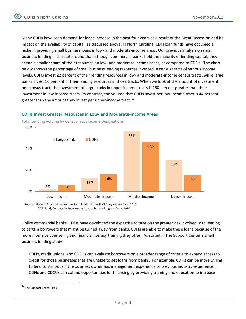Many CDFIs have seen demand for loans increase in the past four years as a result of the Great Recession and its impact on the availability of capital, as discussed above. In North Carolina, CDFI loan funds have occupied a niche in providing small business loans in low- and moderate-income areas. Our previous analysis on small business lending in the state found that although commercial banks hold the majority of lending capital, they spend a smaller share of their resources on low- and moderate income areas, as compared to CDFIs. The chart below shows the percentage of small business lending resources invested in census tracts of various income levels. CDFIs invest 22 percent of their lending resources in low- and moderate-income census tracts, while large banks invest 16 percent of their lending resources in those tracts. When we look at the amount of investment per census tract, the investment of large banks in upper-income tracts is 250 percent greater than their investment in low-income tracts. By contrast, the volume that CDFIs invest per low-income tract is 44 percent greater than the amount they invest per upper-income tract.  $21$ 



#### **CDFIs Invest Greater Resources in Low- and Moderate-income Areas**

Sources: Federal financial Institutions Examination Council. CRA Aggregate Data. 2010. CDFI Fund, Community Investment Impact System Program Data, 2010.

Unlike commercial banks, CDFIs have developed the expertise to take on the greater risk involved with lending to certain borrowers that might be turned away from banks. CDFIs are able to make these loans because of the more intensive counseling and financial literacy training they offer. As stated in The Support Center's small business lending study:

CDFIs, credit unions, and CDCUs can evaluate borrowers on a broader range of criteria to expand access to credit for those businesses that are unable to get loans from banks. For example, CDFIs can be more willing to lend to start-ups if the business owner has management experience or previous industry experience.… CDFIs and CDCUs can extend opportunities for financing by providing training and education to increase

<span id="page-10-0"></span> <sup>21</sup> The Support Center. Pg 6.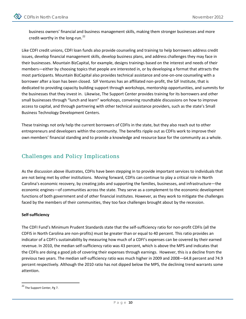business owners' financial and business management skills, making them stronger businesses and more credit-worthy in the long-run.<sup>[22](#page-11-0)</sup>

Like CDFI credit unions, CDFI loan funds also provide counseling and training to help borrowers address credit issues, develop financial management skills, develop business plans, and address challenges they may face in their businesses. Mountain BizCapital, for example, designs trainings based on the interest and needs of their members—either by choosing topics that people are interested in, or by developing a format that attracts the most participants. Mountain BizCapital also provides technical assistance and one-on-one counseling with a borrower after a loan has been closed. SJF Ventures has an affiliated non-profit, the SJF Institute, that is dedicated to providing capacity building support through workshops, mentorship opportunities, and summits for the businesses that they invest in. Likewise, The Support Center provides training for its borrowers and other small businesses through "lunch and learn" workshops, convening roundtable discussions on how to improve access to capital, and through partnering with other technical assistance providers, such as the state's Small Business Technology Development Centers.

These trainings not only help the current borrowers of CDFIs in the state, but they also reach out to other entrepreneurs and developers within the community. The benefits ripple out as CDFIs work to improve their own members' financial standing and to provide a knowledge and resource base for the community as a whole.

# Challenges and Policy Implications

As the discussion above illustrates, CDFIs have been stepping in to provide important services to individuals that are not being met by other institutions. Moving forward, CDFIs can continue to play a critical role in North Carolina's economic recovery, by creating jobs and supporting the families, businesses, and infrastructure—the economic engines—of communities across the state. They serve as a complement to the economic development functions of both government and of other financial institutes. However, as they work to mitigate the challenges faced by the members of their communities, they too face challenges brought about by the recession.

#### **Self-sufficiency**

The CDFI Fund's Minimum Prudent Standards state that the self-sufficiency ratio for non-profit CDFIs (all the CDFIS in North Carolina are non-profits) must be greater than or equal to 40 percent. This ratio provides an indicator of a CDFI's sustainability by measuring how much of a CDFI's expenses can be covered by their earned revenue. In 2010, the median self-sufficiency ratio was 43 percent, which is above the MPS and indicates that the CDFIs are doing a good job of covering their expenses through earnings. However, this is a decline from the previous two years. The median self-sufficiency ratio was much higher in 2009 and 2008—64.8 percent and 74.9 percent respectively. Although the 2010 ratio has not dipped below the MPS, the declining trend warrants some attention.

<span id="page-11-0"></span> <sup>22</sup> The Support Center, Pg 7.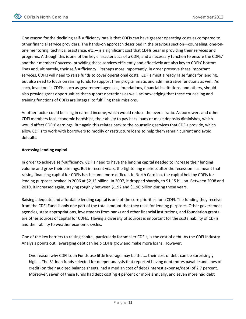One reason for the declining self-sufficiency rate is that CDFIs can have greater operating costs as compared to other financial service providers. The hands-on approach described in the previous section—counseling, one-onone mentoring, technical assistance, etc.—is a significant cost that CDFIs bear in providing their services and programs. Although this is one of the key characteristics of a CDFI, and a necessary function to ensure the CDFIs' and their members' success, providing these services efficiently and effectively are also key to CDFIs' bottom lines and, ultimately, their self-sufficiency. Perhaps more importantly, in order preserve these important services, CDFIs will need to raise funds to cover operational costs. CDFIs must already raise funds for lending, but also need to focus on raising funds to support their programmatic and administrative functions as well. As such, investors in CDFIs, such as government agencies, foundations, financial institutions, and others, should also provide grant opportunities that support operations as well, acknowledging that these counseling and training functions of CDFIs are integral to fulfilling their missions.

Another factor could be a lag in earned income, which would reduce the overall ratio. As borrowers and other CDFI members face economic hardships, their ability to pay back loans or make deposits diminishes, which would affect CDFIs' earnings. But again this relates back to the counseling services that CDFIs provide, which allow CDFIs to work with borrowers to modify or restructure loans to help them remain current and avoid defaults.

#### **Accessing lending capital**

In order to achieve self-sufficiency, CDFIs need to have the lending capital needed to increase their lending volume and grow their earnings. But in recent years, the tightening markets after the recession has meant that raising financing capital for CDFIs has become more difficult. In North Carolina, the capital held by CDFIs for lending purposes peaked in 2006 at \$2.13 billion. In 2007, it dropped sharply, to \$1.15 billion. Between 2008 and 2010, it increased again, staying roughly between \$1.92 and \$1.96 billion during those years.

Raising adequate and affordable lending capital is one of the core priorities for a CDFI. The funding they receive from the CDFI Fund is only one part of the total amount that they raise for lending purposes. Other government agencies, state appropriations, investments from banks and other financial institutions, and foundation grants are other sources of capital for CDFIs. Having a diversity of sources is important for the sustainability of CDFIs and their ability to weather economic cycles.

One of the key barriers to raising capital, particularly for smaller CDFIs, is the cost of debt. As the CDFI Industry Analysis points out, leveraging debt can help CDFIs grow and make more loans. However:

One reason why CDFI Loan Funds use little leverage may be that… their cost of debt can be surprisingly high…. The 31 loan funds selected for deeper analysis that reported having debt (notes payable and lines of credit) on their audited balance sheets, had a median cost of debt (interest expense/debt) of 2.7 percent. Moreover, seven of these funds had debt costing 4 percent or more annually, and seven more had debt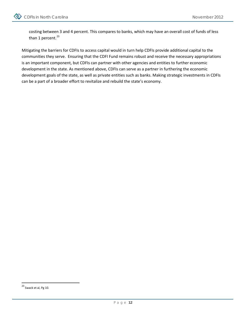

costing between 3 and 4 percent. This compares to banks, which may have an overall cost of funds of less than 1 percent. $^{23}$  $^{23}$  $^{23}$ 

Mitigating the barriers for CDFIs to access capital would in turn help CDFIs provide additional capital to the communities they serve. Ensuring that the CDFI Fund remains robust and receive the necessary appropriations is an important component, but CDFIs can partner with other agencies and entities to further economic development in the state. As mentioned above, CDFIs can serve as a partner in furthering the economic development goals of the state, as well as private entities such as banks. Making strategic investments in CDFIs can be a part of a broader effort to revitalize and rebuild the state's economy.

<span id="page-13-0"></span> $23$  Swack et al, Pg 10.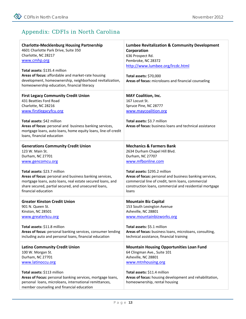# Appendix: CDFIs in North Carolina

| <b>Charlotte-Mecklenburg Housing Partnership</b><br>4601 Charlotte Park Drive, Suite 350<br>Charlotte, NC 28217<br>www.cmhp.org<br>Total assets: \$135.4 million<br>Areas of focus: affordable and market-rate housing<br>development, homeownership, neighborhood revitalization,<br>homeownership education, financial literacy            | <b>Lumbee Revitalization &amp; Community Development</b><br>Corporation<br>636 Prospect Rd.<br>Pembroke, NC 28372<br>http://www.lumbee.org/lrcdc.html<br>Total assets: \$70,000<br>Areas of focus: microloans and financial counseling                                                                                             |
|----------------------------------------------------------------------------------------------------------------------------------------------------------------------------------------------------------------------------------------------------------------------------------------------------------------------------------------------|------------------------------------------------------------------------------------------------------------------------------------------------------------------------------------------------------------------------------------------------------------------------------------------------------------------------------------|
| <b>First Legacy Community Credit Union</b><br>431 Beatties Ford Road<br>Charlotte, NC 28216<br>www.firstlegacyfcu.org<br>Total assets: \$42 million<br>Areas of focus: personal and business banking services,<br>mortgage loans, auto loans, home equity loans, line-of-credit<br>loans, financial education                                | <b>MAY Coalition, Inc.</b><br>167 Locust St.<br>Spruce Pine, NC 28777<br>www.maycoalition.org<br>Total assets: \$3.7 million<br>Areas of focus: business loans and technical assistance                                                                                                                                            |
| <b>Generations Community Credit Union</b><br>123 W. Main St.<br>Durham, NC 27701<br>www.gencomcu.org<br>Total assets: \$23.7 million<br>Areas of focus: personal and business banking services,<br>mortgage loans, auto loans, real estate secured loans, and<br>share secured, partial secured, and unsecured loans,<br>financial education | <b>Mechanics &amp; Farmers Bank</b><br>2634 Durham Chapel Hill Blvd.<br>Durham, NC 27707<br>www.mfbonline.com<br>Total assets: \$295.2 million<br>Areas of focus: personal and business banking services,<br>commercial line of credit, term loans, commercial<br>construction loans, commercial and residential mortgage<br>loans |
| <b>Greater Kinston Credit Union</b><br>901 N. Queen St.<br>Kinston, NC 28501<br>www.greaterkcu.org<br>Total assets: \$11.8 million<br>Areas of focus: personal banking services, consumer lending<br>including auto and personal loans, financial education                                                                                  | <b>Mountain Biz Capital</b><br>153 South Lexington Avenue<br>Asheville, NC 28801<br>www.mountainbizworks.org<br>Total assets: \$5.1 million<br>Areas of focus: business loans, microloans, consulting,<br>technical assistance, financial training                                                                                 |
| <b>Latino Community Credit Union</b><br>100 W. Morgan St.<br>Durham, NC 27701<br>www.latinoccu.org<br>Total assets: \$113 million<br>Areas of Focus: personal banking services, mortgage loans,<br>personal loans, microloans, international remittances,<br>member counseling and financial education                                       | <b>Mountain Housing Opportunities Loan Fund</b><br>64 Clingman Ave., Suite 101<br>Asheville, NC 28801<br>www.mtnhousing.org<br>Total assets: \$11.4 million<br>Areas of focus: housing development and rehabilitation,<br>homeownership, rental housing                                                                            |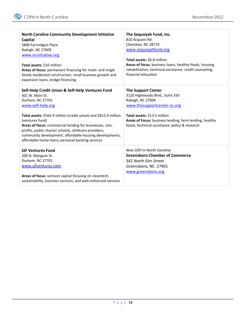| <b>North Carolina Community Development Initiative</b><br>Capital<br>5800 Farrindgon Place<br>Raleigh, NC 27609<br>www.ncinitiative.org<br>Total assets: \$10 million<br>Areas of focus: permanent financing for multi- and single<br>family residential construction, small business growth and<br>expansion loans, bridge financing                                                                                                  | The Sequoyah Fund, Inc.<br>810 Acquoni Rd.<br>Cherokee, NC 28719<br>www.sequoyahfund.org<br>Total assets: \$6.8 million<br>Areas of focus: business loans, healthy foods, housing<br>rehabilitation, technical assistance, credit counseling,<br>financial education |
|----------------------------------------------------------------------------------------------------------------------------------------------------------------------------------------------------------------------------------------------------------------------------------------------------------------------------------------------------------------------------------------------------------------------------------------|----------------------------------------------------------------------------------------------------------------------------------------------------------------------------------------------------------------------------------------------------------------------|
| Self-Help Credit Union & Self-Help Ventures Fund<br>301 W. Main St.<br>Durham, NC 27701<br>www.self-help.org<br>Total assets: \$564.9 million (credit union) and \$815.6 million<br>(ventures fund)<br>Areas of focus: commercial lending for businesses, non-<br>profits, public charter schools, childcare providers;<br>community development; affordable housing developments;<br>affordable home loans; personal banking services | <b>The Support Center</b><br>3120 Highwoods Blvd., Suite 350<br>Raleigh, NC 27604<br>www.thesupportcenter-nc.org<br>Total assets: \$13.5 million<br>Areas of Focus: business lending, farm lending, healthy<br>foods, technical assistance, policy & research        |
| <b>SJF Ventures Fund</b><br>200 N. Mangum St.<br>Durham, NC 27701<br>www.sjfventures.com<br>Areas of focus: venture capital focusing on cleantech,<br>sustainability, business services, and web-enhanced services                                                                                                                                                                                                                     | <b>New CDFI in North Carolina:</b><br><b>Greensboro Chamber of Commerce</b><br>342 North Elm Street<br>Greensboro, NC 27401<br>www.greensboro.org                                                                                                                    |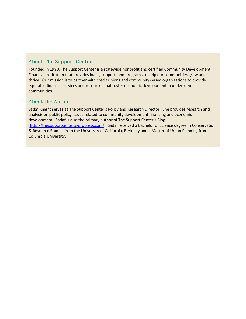#### About The Support Center

Founded in 1990, The Support Center is a statewide nonprofit and certified Community Development Financial Institution that provides loans, support, and programs to help our communities grow and thrive. Our mission is to partner with credit unions and community-based organizations to provide equitable financial services and resources that foster economic development in underserved communities.

#### About the Author

Sadaf Knight serves as The Support Center's Policy and Research Director. She provides research and analysis on public policy issues related to community development financing and economic development. Sadaf is also the primary author of The Support Center's Blog [\(http://thesupportcenter.wordpress.com/\)](http://thesupportcenter.wordpress.com/). Sadaf received a Bachelor of Science degree in Conservation & Resource Studies from the University of California, Berkeley and a Master of Urban Planning from Columbia University.